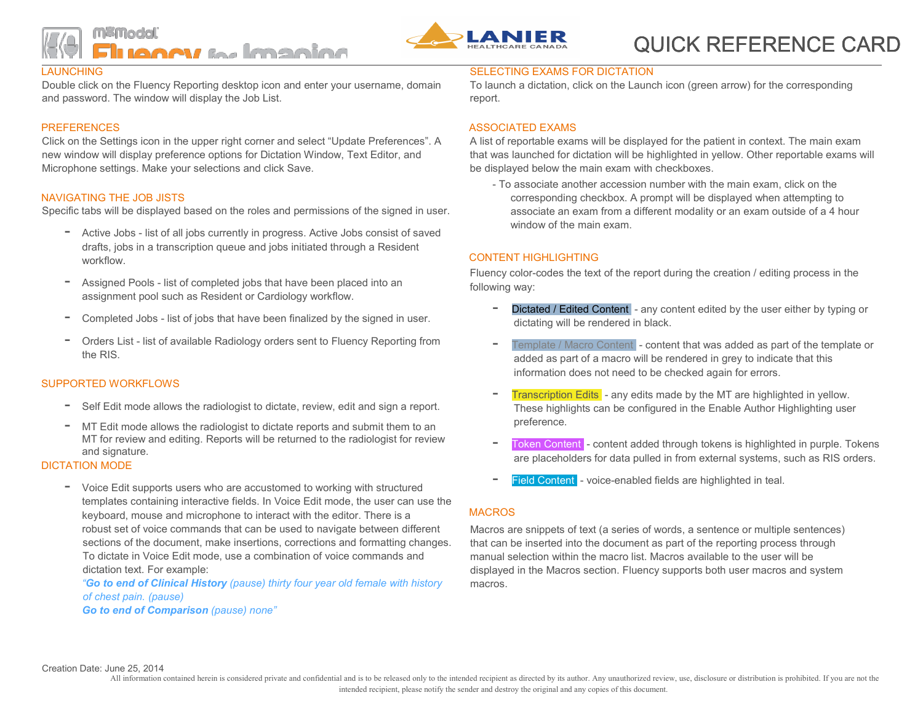



# QUICK REFERENCE CARD

#### **LAUNCHING**

Double click on the Fluency Reporting desktop icon and enter your username, domain and password. The window will display the Job List.

#### PREFERENCES

Click on the Settings icon in the upper right corner and select "Update Preferences". A new window will display preference options for Dictation Window, Text Editor, and Microphone settings. Make your selections and click Save.

#### NAVIGATING THE JOB JISTS

Specific tabs will be displayed based on the roles and permissions of the signed in user.

- Active Jobs list of all jobs currently in progress. Active Jobs consist of saved drafts, jobs in a transcription queue and jobs initiated through a Resident workflow.
- Assigned Pools list of completed jobs that have been placed into an assignment pool such as Resident or Cardiology workflow.
- Completed Jobs list of jobs that have been finalized by the signed in user.
- Orders List list of available Radiology orders sent to Fluency Reporting from the RIS.

## SUPPORTED WORKELOWS

- Self Edit mode allows the radiologist to dictate, review, edit and sign a report.
- MT Edit mode allows the radiologist to dictate reports and submit them to an MT for review and editing. Reports will be returned to the radiologist for review and signature.

#### DICTATION MODE

- Voice Edit supports users who are accustomed to working with structured templates containing interactive fields. In Voice Edit mode, the user can use the keyboard, mouse and microphone to interact with the editor. There is a robust set of voice commands that can be used to navigate between different sections of the document, make insertions, corrections and formatting changes. To dictate in Voice Edit mode, use a combination of voice commands and dictation text. For example:

"Go to end of Clinical History (pause) thirty four year old female with history of chest pain. (pause)

Go to end of Comparison (pause) none"

## SELECTING EXAMS FOR DICTATION

To launch a dictation, click on the Launch icon (green arrow) for the corresponding report.

#### ASSOCIATED EXAMS

A list of reportable exams will be displayed for the patient in context. The main exam that was launched for dictation will be highlighted in yellow. Other reportable exams will be displayed below the main exam with checkboxes.

- To associate another accession number with the main exam, click on the corresponding checkbox. A prompt will be displayed when attempting to associate an exam from a different modality or an exam outside of a 4 hour window of the main exam.

## CONTENT HIGHLIGHTING

Fluency color-codes the text of the report during the creation / editing process in the following way:

- Dictated / Edited Content any content edited by the user either by typing or dictating will be rendered in black.
- Template / Macro Content content that was added as part of the template or added as part of a macro will be rendered in grey to indicate that this information does not need to be checked again for errors.
- **Transcription Edits** any edits made by the MT are highlighted in yellow. These highlights can be configured in the Enable Author Highlighting user preference.
- Token Content content added through tokens is highlighted in purple. Tokens are placeholders for data pulled in from external systems, such as RIS orders.
- Field Content voice-enabled fields are highlighted in teal.

## MACROS

Macros are snippets of text (a series of words, a sentence or multiple sentences) that can be inserted into the document as part of the reporting process through manual selection within the macro list. Macros available to the user will be displayed in the Macros section. Fluency supports both user macros and system macros.